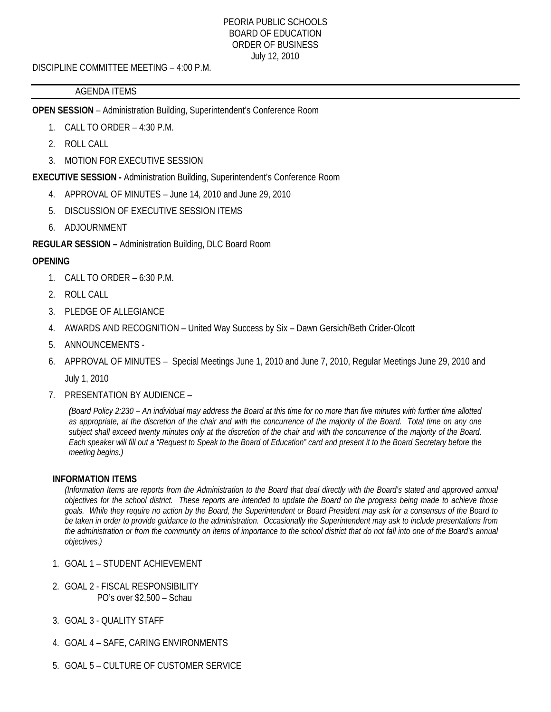#### PEORIA PUBLIC SCHOOLS BOARD OF EDUCATION ORDER OF BUSINESS July 12, 2010

DISCIPLINE COMMITTEE MEETING – 4:00 P.M.

## AGENDA ITEMS

**OPEN SESSION** – Administration Building, Superintendent's Conference Room

- 1. CALL TO ORDER 4:30 P.M.
- 2. ROLL CALL
- 3. MOTION FOR EXECUTIVE SESSION

**EXECUTIVE SESSION -** Administration Building, Superintendent's Conference Room

- 4. APPROVAL OF MINUTES June 14, 2010 and June 29, 2010
- 5. DISCUSSION OF EXECUTIVE SESSION ITEMS
- 6. ADJOURNMENT

**REGULAR SESSION –** Administration Building, DLC Board Room

# **OPENING**

- 1. CALL TO ORDER 6:30 P.M.
- 2. ROLL CALL
- 3. PLEDGE OF ALLEGIANCE
- 4. AWARDS AND RECOGNITION United Way Success by Six Dawn Gersich/Beth Crider-Olcott
- 5. ANNOUNCEMENTS -
- 6. APPROVAL OF MINUTES Special Meetings June 1, 2010 and June 7, 2010, Regular Meetings June 29, 2010 and July 1, 2010
- 7. PRESENTATION BY AUDIENCE –

*(Board Policy 2:230 – An individual may address the Board at this time for no more than five minutes with further time allotted as appropriate, at the discretion of the chair and with the concurrence of the majority of the Board. Total time on any one subject shall exceed twenty minutes only at the discretion of the chair and with the concurrence of the majority of the Board. Each speaker will fill out a "Request to Speak to the Board of Education" card and present it to the Board Secretary before the meeting begins.)* 

## **INFORMATION ITEMS**

*(Information Items are reports from the Administration to the Board that deal directly with the Board's stated and approved annual objectives for the school district. These reports are intended to update the Board on the progress being made to achieve those goals. While they require no action by the Board, the Superintendent or Board President may ask for a consensus of the Board to be taken in order to provide guidance to the administration. Occasionally the Superintendent may ask to include presentations from the administration or from the community on items of importance to the school district that do not fall into one of the Board's annual objectives.)* 

- 1. GOAL 1 STUDENT ACHIEVEMENT
- 2. GOAL 2 FISCAL RESPONSIBILITY PO's over \$2,500 – Schau
- 3. GOAL 3 QUALITY STAFF
- 4. GOAL 4 SAFE, CARING ENVIRONMENTS
- 5. GOAL 5 CULTURE OF CUSTOMER SERVICE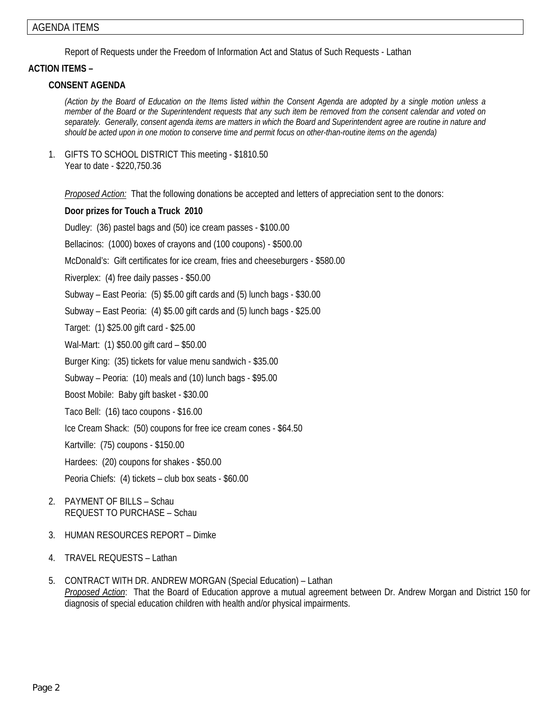Report of Requests under the Freedom of Information Act and Status of Such Requests - Lathan

## **ACTION ITEMS –**

## **CONSENT AGENDA**

*(Action by the Board of Education on the Items listed within the Consent Agenda are adopted by a single motion unless a member of the Board or the Superintendent requests that any such item be removed from the consent calendar and voted on separately. Generally, consent agenda items are matters in which the Board and Superintendent agree are routine in nature and should be acted upon in one motion to conserve time and permit focus on other-than-routine items on the agenda)* 

1. GIFTS TO SCHOOL DISTRICT This meeting - \$1810.50 Year to date - \$220,750.36

*Proposed Action:* That the following donations be accepted and letters of appreciation sent to the donors:

## **Door prizes for Touch a Truck 2010**

Dudley: (36) pastel bags and (50) ice cream passes - \$100.00

Bellacinos: (1000) boxes of crayons and (100 coupons) - \$500.00

McDonald's: Gift certificates for ice cream, fries and cheeseburgers - \$580.00

Riverplex: (4) free daily passes - \$50.00

Subway – East Peoria: (5) \$5.00 gift cards and (5) lunch bags - \$30.00

Subway – East Peoria: (4) \$5.00 gift cards and (5) lunch bags - \$25.00

Target: (1) \$25.00 gift card - \$25.00

Wal-Mart: (1) \$50.00 gift card – \$50.00

Burger King: (35) tickets for value menu sandwich - \$35.00

Subway – Peoria: (10) meals and (10) lunch bags - \$95.00

Boost Mobile: Baby gift basket - \$30.00

Taco Bell: (16) taco coupons - \$16.00

Ice Cream Shack: (50) coupons for free ice cream cones - \$64.50

Kartville: (75) coupons - \$150.00

Hardees: (20) coupons for shakes - \$50.00

Peoria Chiefs: (4) tickets – club box seats - \$60.00

- 2. PAYMENT OF BILLS Schau REQUEST TO PURCHASE – Schau
- 3. HUMAN RESOURCES REPORT Dimke
- 4. TRAVEL REQUESTS Lathan
- 5. CONTRACT WITH DR. ANDREW MORGAN (Special Education) Lathan *Proposed Action*: That the Board of Education approve a mutual agreement between Dr. Andrew Morgan and District 150 for diagnosis of special education children with health and/or physical impairments.